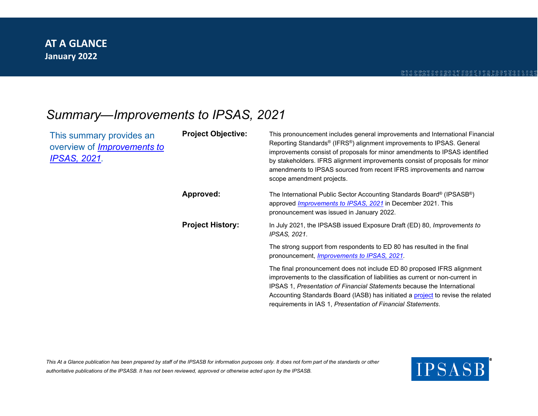## *Summary*—*Improvements to IPSAS, 2021*

| This summary provides an<br>overview of <i>Improvements to</i><br>IPSAS, 2021. | <b>Project Objective:</b> | This pronouncement includes general improvements and International Financial<br>Reporting Standards <sup>®</sup> (IFRS <sup>®</sup> ) alignment improvements to IPSAS. General<br>improvements consist of proposals for minor amendments to IPSAS identified<br>by stakeholders. IFRS alignment improvements consist of proposals for minor<br>amendments to IPSAS sourced from recent IFRS improvements and narrow<br>scope amendment projects. |
|--------------------------------------------------------------------------------|---------------------------|--------------------------------------------------------------------------------------------------------------------------------------------------------------------------------------------------------------------------------------------------------------------------------------------------------------------------------------------------------------------------------------------------------------------------------------------------|
|                                                                                | Approved:                 | The International Public Sector Accounting Standards Board® (IPSASB®)<br>approved <i>Improvements to IPSAS</i> , 2021 in December 2021. This<br>pronouncement was issued in January 2022.                                                                                                                                                                                                                                                        |
|                                                                                | <b>Project History:</b>   | In July 2021, the IPSASB issued Exposure Draft (ED) 80, Improvements to<br>IPSAS, 2021.                                                                                                                                                                                                                                                                                                                                                          |
|                                                                                |                           | The strong support from respondents to ED 80 has resulted in the final<br>pronouncement, <i>Improvements to IPSAS</i> , 2021.                                                                                                                                                                                                                                                                                                                    |
|                                                                                |                           | The final pronouncement does not include ED 80 proposed IFRS alignment<br>improvements to the classification of liabilities as current or non-current in<br>IPSAS 1, Presentation of Financial Statements because the International<br>Accounting Standards Board (IASB) has initiated a project to revise the related<br>requirements in IAS 1, Presentation of Financial Statements.                                                           |

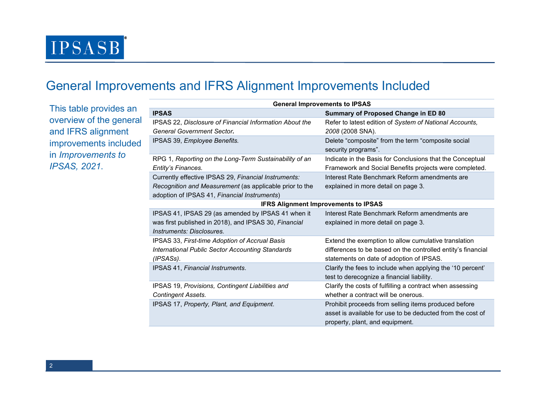# **IPSASB**

## General Improvements and IFRS Alignment Improvements Included

This table provides an overview of the general and IFRS alignment improvements included in *Improvements to IPSAS, 2021*.

|                                             | <b>General Improvements to IPSAS</b>                                                                                   |                                                                                                                                                                  |  |  |
|---------------------------------------------|------------------------------------------------------------------------------------------------------------------------|------------------------------------------------------------------------------------------------------------------------------------------------------------------|--|--|
| pvides an                                   | <b>IPSAS</b>                                                                                                           | Summary of Proposed Change in ED 80                                                                                                                              |  |  |
| he general                                  | IPSAS 22, Disclosure of Financial Information About the                                                                | Refer to latest edition of System of National Accounts,                                                                                                          |  |  |
| 3.<br>1 ment                                | General Government Sector.                                                                                             | 2008 (2008 SNA).                                                                                                                                                 |  |  |
| s included                                  | IPSAS 39, Employee Benefits.                                                                                           | Delete "composite" from the term "composite social<br>security programs".                                                                                        |  |  |
| ents to                                     | RPG 1, Reporting on the Long-Term Sustainability of an<br>Entity's Finances.                                           | Indicate in the Basis for Conclusions that the Conceptual<br>Framework and Social Benefits projects were completed.                                              |  |  |
|                                             | Currently effective IPSAS 29, Financial Instruments:                                                                   | Interest Rate Benchmark Reform amendments are                                                                                                                    |  |  |
|                                             | Recognition and Measurement (as applicable prior to the<br>adoption of IPSAS 41, Financial Instruments)                | explained in more detail on page 3.                                                                                                                              |  |  |
| <b>IFRS Alignment Improvements to IPSAS</b> |                                                                                                                        |                                                                                                                                                                  |  |  |
|                                             | IPSAS 41, IPSAS 29 (as amended by IPSAS 41 when it                                                                     | Interest Rate Benchmark Reform amendments are                                                                                                                    |  |  |
|                                             | was first published in 2018), and IPSAS 30, Financial                                                                  | explained in more detail on page 3.                                                                                                                              |  |  |
|                                             | Instruments: Disclosures.                                                                                              |                                                                                                                                                                  |  |  |
|                                             | IPSAS 33, First-time Adoption of Accrual Basis<br><b>International Public Sector Accounting Standards</b><br>(IPSASs). | Extend the exemption to allow cumulative translation<br>differences to be based on the controlled entity's financial<br>statements on date of adoption of IPSAS. |  |  |
|                                             | IPSAS 41, Financial Instruments.                                                                                       | Clarify the fees to include when applying the '10 percent'<br>test to derecognize a financial liability.                                                         |  |  |
|                                             | IPSAS 19, Provisions, Contingent Liabilities and                                                                       | Clarify the costs of fulfilling a contract when assessing                                                                                                        |  |  |
|                                             | <b>Contingent Assets.</b>                                                                                              | whether a contract will be onerous.                                                                                                                              |  |  |
|                                             | IPSAS 17, Property, Plant, and Equipment.                                                                              | Prohibit proceeds from selling items produced before                                                                                                             |  |  |
|                                             |                                                                                                                        | asset is available for use to be deducted from the cost of                                                                                                       |  |  |
|                                             |                                                                                                                        | property, plant, and equipment.                                                                                                                                  |  |  |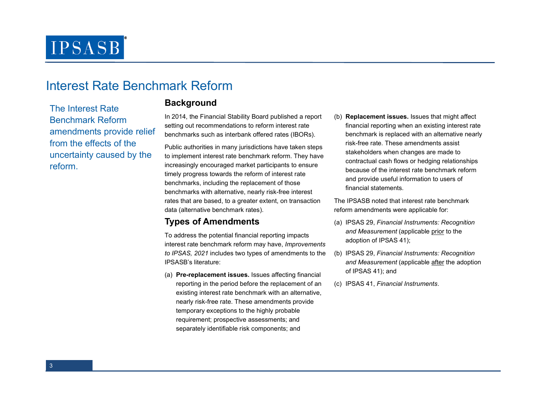## **IPSASB**

### Interest Rate Benchmark Reform

The Interest Rate Benchmark Reform amendments provide relief from the effects of the uncertainty caused by the reform.

#### **Background**

In 2014, the Financial Stability Board published a report setting out recommendations to reform interest ratebenchmarks such as interbank offered rates (IBORs).

Public authorities in many jurisdictions have taken steps to implement interest rate benchmark reform. They have increasingly encouraged market participants to ensure timely progress towards the reform of interest ratebenchmarks, including the replacement of those benchmarks with alternative, nearly risk-free interest rates that are based, to a greater extent, on transaction data (alternative benchmark rates).

#### **Types of Amendments**

To address the potential financial reporting impacts interest rate benchmark reform may have, *Improvements to IPSAS, 2021* includes two types of amendments to the IPSASB's literature:

(a) **Pre-replacement issues.** Issues affecting financial reporting in the period before the replacement of an existing interest rate benchmark with an alternative, nearly risk-free rate. These amendments provide temporary exceptions to the highly probable requirement; prospective assessments; and separately identifiable risk components; and

(b) **Replacement issues.** Issues that might affect financial reporting when an existing interest rate benchmark is replaced with an alternative nearly risk-free rate. These amendments assist stakeholders when changes are made to contractual cash flows or hedging relationships because of the interest rate benchmark reform and provide useful information to users of financial statements.

The IPSASB noted that interest rate benchmark reform amendments were applicable for:

- (a) IPSAS 29, *Financial Instruments: Recognition and Measurement* (applicable prior to the adoption of IPSAS 41);
- (b) IPSAS 29, *Financial Instruments: Recognition and Measurement* (applicable after the adoption of IPSAS 41); and
- (c) IPSAS 41, *Financial Instruments*.